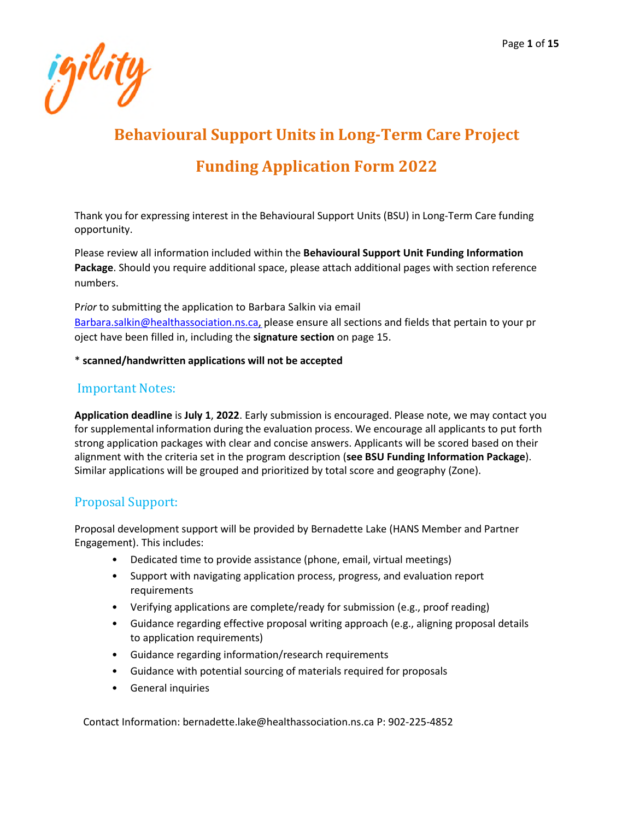

# **Behavioural Support Units in Long-Term Care Project Funding Application Form 2022**

Thank you for expressing interest in the Behavioural Support Units (BSU) in Long-Term Care funding opportunity.

Please review all information included within the **Behavioural Support Unit Funding Information Package**. Should you require additional space, please attach additional pages with section reference numbers.

P*rior* to submitting the application to Barbara Salkin via email Barbara.salkin@healthassociation.ns.ca, please ensure all sections and fields that pertain to your pr oject have been filled in, including the **signature section** on page 15.

#### \* **scanned/handwritten applications will not be accepted**

#### Important Notes:

**Application deadline** is **July 1**, **2022**. Early submission is encouraged. Please note, we may contact you for supplemental information during the evaluation process. We encourage all applicants to put forth strong application packages with clear and concise answers. Applicants will be scored based on their alignment with the criteria set in the program description (**see BSU Funding Information Package**). Similar applications will be grouped and prioritized by total score and geography (Zone).

#### Proposal Support:

Proposal development support will be provided by Bernadette Lake (HANS Member and Partner Engagement). This includes:

- Dedicated time to provide assistance (phone, email, virtual meetings)
- Support with navigating application process, progress, and evaluation report requirements
- Verifying applications are complete/ready for submission (e.g., proof reading)
- Guidance regarding effective proposal writing approach (e.g., aligning proposal details to application requirements)
- Guidance regarding information/research requirements
- Guidance with potential sourcing of materials required for proposals
- General inquiries

Contact Information: bernadette.lake@healthassociation.ns.ca P: 902-225-4852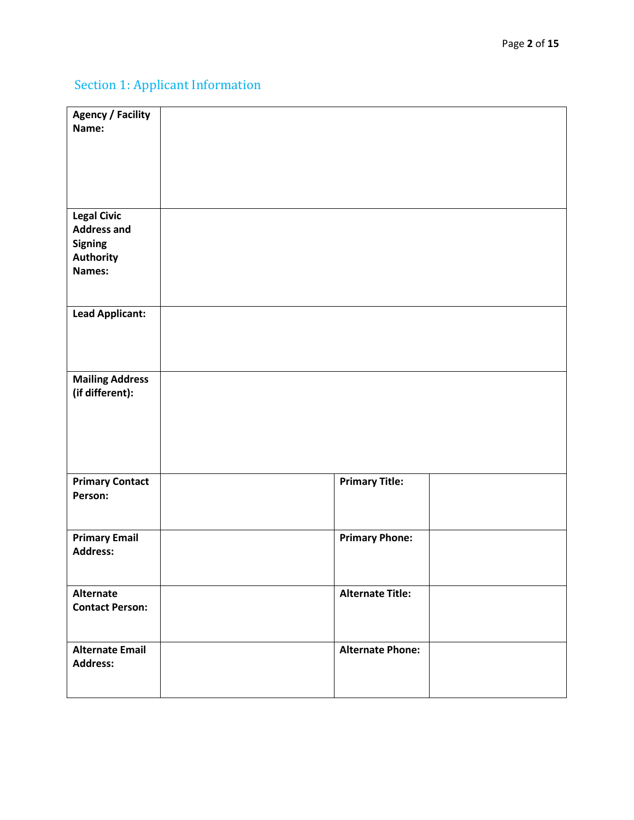# Section 1: Applicant Information

| <b>Agency / Facility</b><br>Name:                                                        |                         |  |
|------------------------------------------------------------------------------------------|-------------------------|--|
| <b>Legal Civic</b><br><b>Address and</b><br><b>Signing</b><br><b>Authority</b><br>Names: |                         |  |
| <b>Lead Applicant:</b>                                                                   |                         |  |
| <b>Mailing Address</b><br>(if different):                                                |                         |  |
| <b>Primary Contact</b><br>Person:                                                        | <b>Primary Title:</b>   |  |
| <b>Primary Email</b><br><b>Address:</b>                                                  | <b>Primary Phone:</b>   |  |
| Alternate<br><b>Contact Person:</b>                                                      | <b>Alternate Title:</b> |  |
| <b>Alternate Email</b><br><b>Address:</b>                                                | <b>Alternate Phone:</b> |  |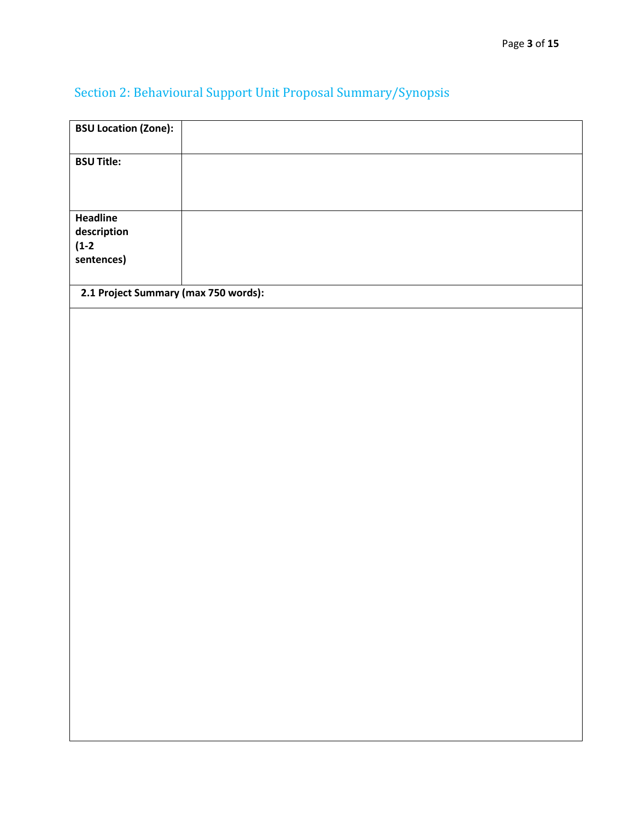# Section 2: Behavioural Support Unit Proposal Summary/Synopsis

| <b>BSU Location (Zone):</b>          |  |
|--------------------------------------|--|
| <b>BSU Title:</b>                    |  |
|                                      |  |
| Headline<br>description              |  |
| $(1-2)$                              |  |
| sentences)                           |  |
| 2.1 Project Summary (max 750 words): |  |
|                                      |  |
|                                      |  |
|                                      |  |
|                                      |  |
|                                      |  |
|                                      |  |
|                                      |  |
|                                      |  |
|                                      |  |
|                                      |  |
|                                      |  |
|                                      |  |
|                                      |  |
|                                      |  |
|                                      |  |
|                                      |  |
|                                      |  |
|                                      |  |
|                                      |  |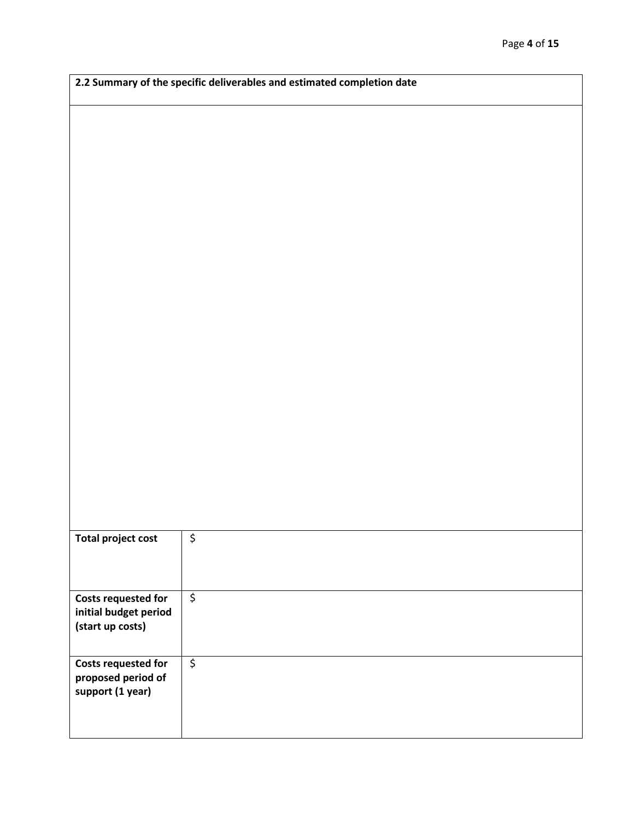|                                                     | 2.2 Summary of the specific deliverables and estimated completion date |  |
|-----------------------------------------------------|------------------------------------------------------------------------|--|
|                                                     |                                                                        |  |
|                                                     |                                                                        |  |
|                                                     |                                                                        |  |
|                                                     |                                                                        |  |
|                                                     |                                                                        |  |
|                                                     |                                                                        |  |
|                                                     |                                                                        |  |
|                                                     |                                                                        |  |
|                                                     |                                                                        |  |
|                                                     |                                                                        |  |
|                                                     |                                                                        |  |
|                                                     |                                                                        |  |
|                                                     |                                                                        |  |
|                                                     |                                                                        |  |
|                                                     |                                                                        |  |
|                                                     |                                                                        |  |
|                                                     |                                                                        |  |
|                                                     |                                                                        |  |
|                                                     |                                                                        |  |
|                                                     |                                                                        |  |
|                                                     |                                                                        |  |
|                                                     |                                                                        |  |
|                                                     |                                                                        |  |
|                                                     |                                                                        |  |
|                                                     |                                                                        |  |
|                                                     |                                                                        |  |
|                                                     |                                                                        |  |
|                                                     |                                                                        |  |
|                                                     |                                                                        |  |
|                                                     | \$                                                                     |  |
| <b>Total project cost</b>                           |                                                                        |  |
|                                                     |                                                                        |  |
|                                                     |                                                                        |  |
|                                                     | $\overline{\xi}$                                                       |  |
| <b>Costs requested for</b><br>initial budget period |                                                                        |  |
| (start up costs)                                    |                                                                        |  |
|                                                     |                                                                        |  |
|                                                     |                                                                        |  |
| <b>Costs requested for</b>                          | $\overline{\xi}$                                                       |  |
| proposed period of                                  |                                                                        |  |
| support (1 year)                                    |                                                                        |  |
|                                                     |                                                                        |  |
|                                                     |                                                                        |  |
|                                                     |                                                                        |  |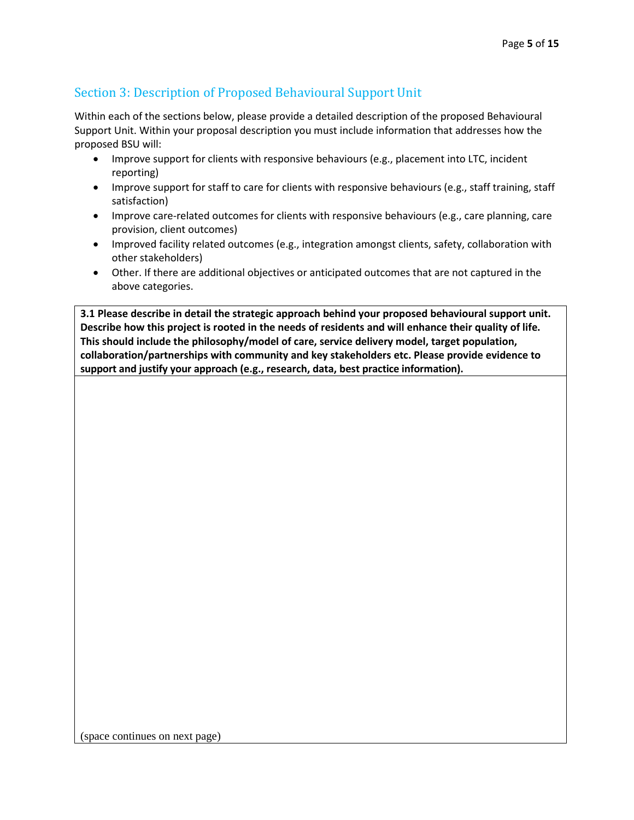### Section 3: Description of Proposed Behavioural Support Unit

Within each of the sections below, please provide a detailed description of the proposed Behavioural Support Unit. Within your proposal description you must include information that addresses how the proposed BSU will:

- Improve support for clients with responsive behaviours (e.g., placement into LTC, incident reporting)
- Improve support for staff to care for clients with responsive behaviours (e.g., staff training, staff satisfaction)
- Improve care-related outcomes for clients with responsive behaviours (e.g., care planning, care provision, client outcomes)
- Improved facility related outcomes (e.g., integration amongst clients, safety, collaboration with other stakeholders)
- Other. If there are additional objectives or anticipated outcomes that are not captured in the above categories.

**3.1 Please describe in detail the strategic approach behind your proposed behavioural support unit. Describe how this project is rooted in the needs of residents and will enhance their quality of life. This should include the philosophy/model of care, service delivery model, target population, collaboration/partnerships with community and key stakeholders etc. Please provide evidence to support and justify your approach (e.g., research, data, best practice information).**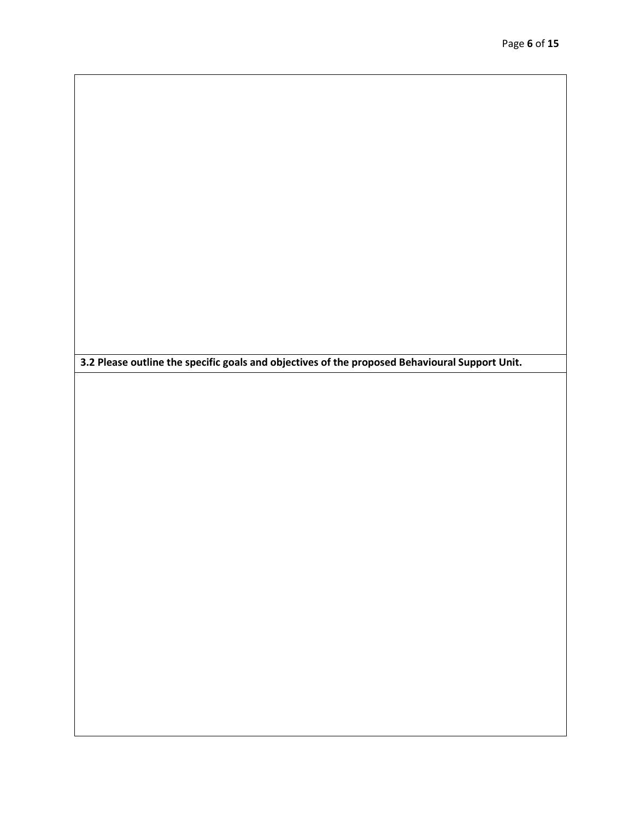**3.2 Please outline the specific goals and objectives of the proposed Behavioural Support Unit.**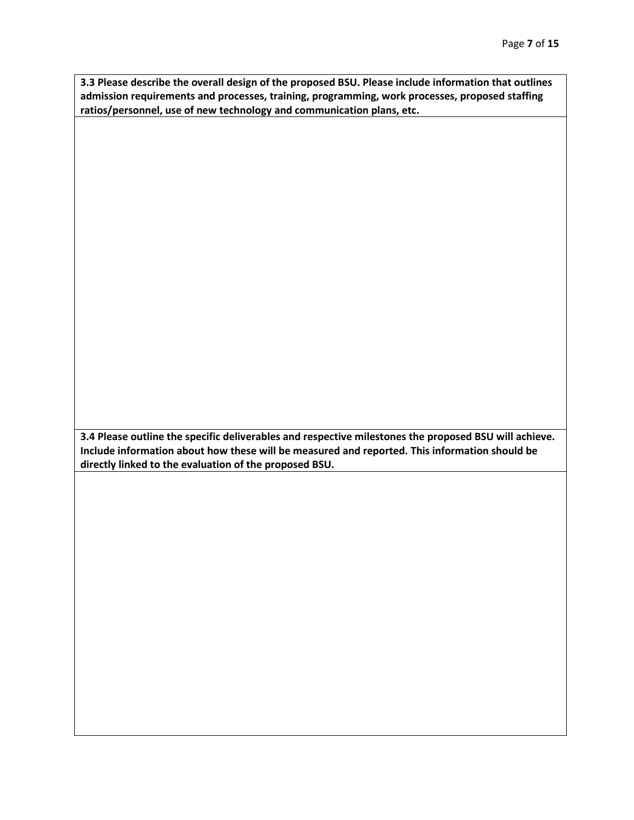**3.3 Please describe the overall design of the proposed BSU. Please include information that outlines admission requirements and processes, training, programming, work processes, proposed staffing ratios/personnel, use of new technology and communication plans, etc.** 

**3.4 Please outline the specific deliverables and respective milestones the proposed BSU will achieve. Include information about how these will be measured and reported. This information should be directly linked to the evaluation of the proposed BSU.**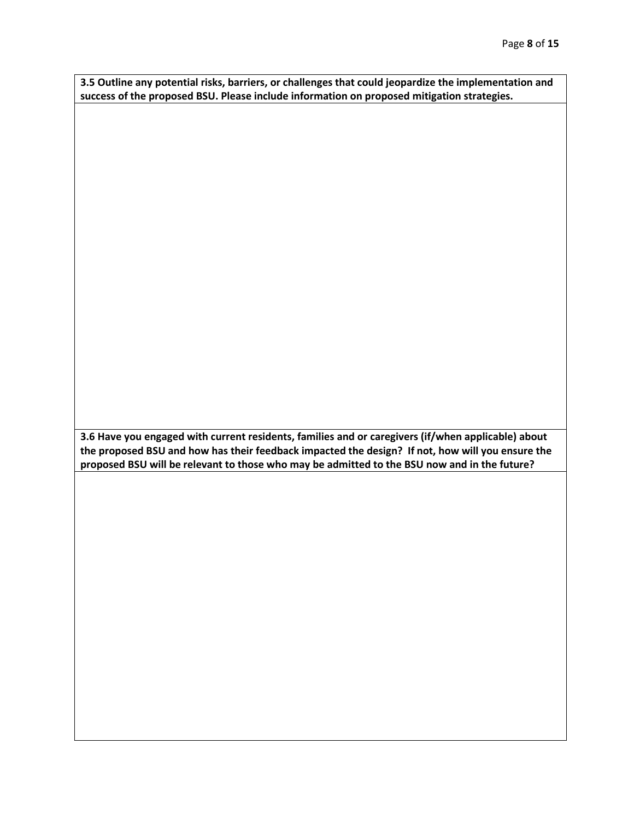**3.5 Outline any potential risks, barriers, or challenges that could jeopardize the implementation and success of the proposed BSU. Please include information on proposed mitigation strategies.** 

**3.6 Have you engaged with current residents, families and or caregivers (if/when applicable) about the proposed BSU and how has their feedback impacted the design? If not, how will you ensure the proposed BSU will be relevant to those who may be admitted to the BSU now and in the future?**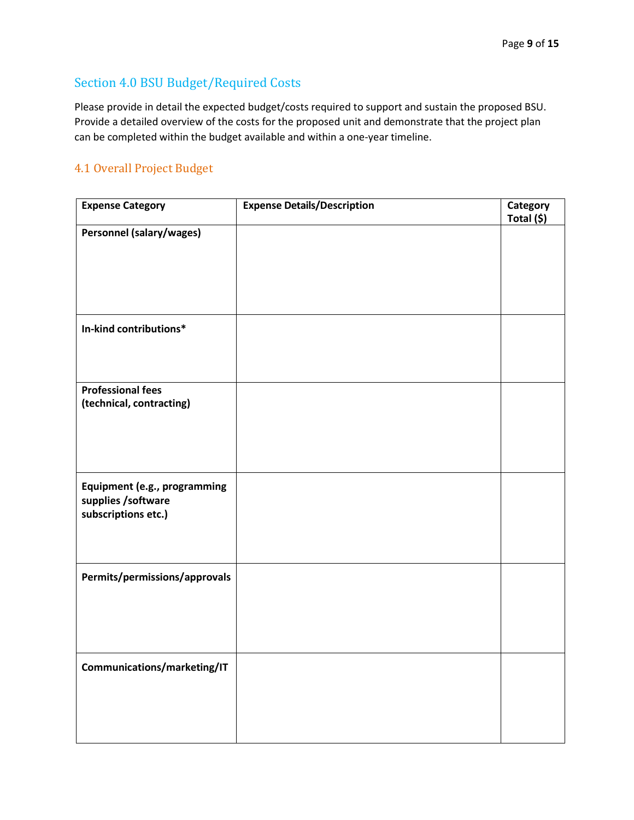### Section 4.0 BSU Budget/Required Costs

Please provide in detail the expected budget/costs required to support and sustain the proposed BSU. Provide a detailed overview of the costs for the proposed unit and demonstrate that the project plan can be completed within the budget available and within a one-year timeline.

#### 4.1 Overall Project Budget

| <b>Expense Category</b>                              | <b>Expense Details/Description</b> | Category<br>Total (\$) |
|------------------------------------------------------|------------------------------------|------------------------|
| <b>Personnel (salary/wages)</b>                      |                                    |                        |
|                                                      |                                    |                        |
|                                                      |                                    |                        |
|                                                      |                                    |                        |
| In-kind contributions*                               |                                    |                        |
|                                                      |                                    |                        |
| <b>Professional fees</b><br>(technical, contracting) |                                    |                        |
|                                                      |                                    |                        |
|                                                      |                                    |                        |
|                                                      |                                    |                        |
| Equipment (e.g., programming<br>supplies /software   |                                    |                        |
| subscriptions etc.)                                  |                                    |                        |
|                                                      |                                    |                        |
| Permits/permissions/approvals                        |                                    |                        |
|                                                      |                                    |                        |
|                                                      |                                    |                        |
| Communications/marketing/IT                          |                                    |                        |
|                                                      |                                    |                        |
|                                                      |                                    |                        |
|                                                      |                                    |                        |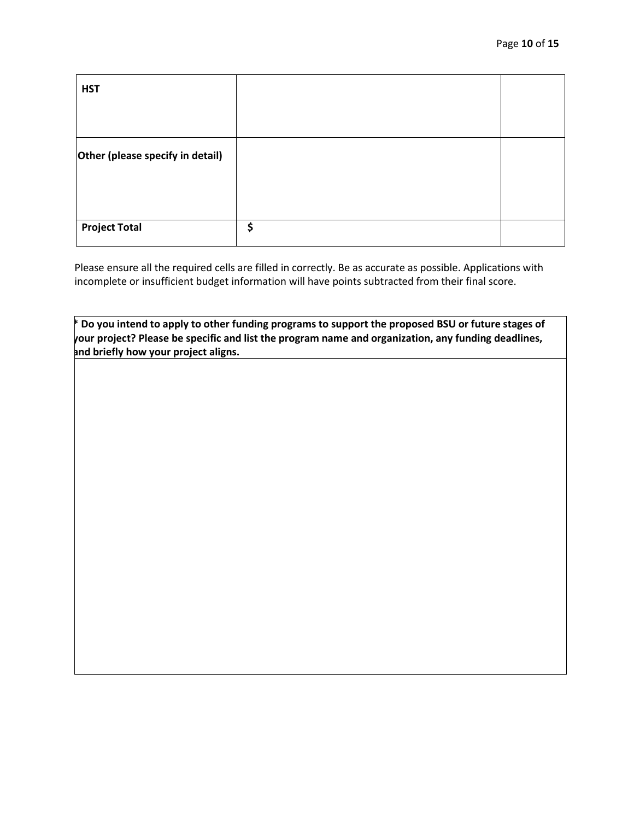| <b>HST</b>                       |    |
|----------------------------------|----|
|                                  |    |
| Other (please specify in detail) |    |
|                                  |    |
|                                  |    |
| <b>Project Total</b>             | \$ |

Please ensure all the required cells are filled in correctly. Be as accurate as possible. Applications with incomplete or insufficient budget information will have points subtracted from their final score.

**\* Do you intend to apply to other funding programs to support the proposed BSU or future stages of your project? Please be specific and list the program name and organization, any funding deadlines, and briefly how your project aligns.**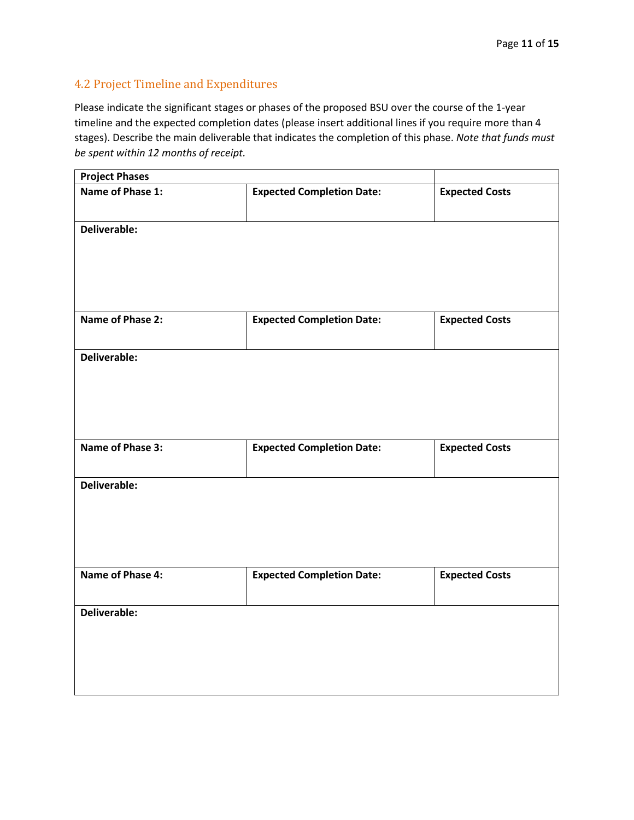#### 4.2 Project Timeline and Expenditures

Please indicate the significant stages or phases of the proposed BSU over the course of the 1-year timeline and the expected completion dates (please insert additional lines if you require more than 4 stages). Describe the main deliverable that indicates the completion of this phase. *Note that funds must be spent within 12 months of receipt.*

| <b>Project Phases</b> |                                  |                       |
|-----------------------|----------------------------------|-----------------------|
| Name of Phase 1:      | <b>Expected Completion Date:</b> | <b>Expected Costs</b> |
| Deliverable:          |                                  |                       |
| Name of Phase 2:      | <b>Expected Completion Date:</b> | <b>Expected Costs</b> |
| Deliverable:          |                                  |                       |
| Name of Phase 3:      | <b>Expected Completion Date:</b> | <b>Expected Costs</b> |
| Deliverable:          |                                  |                       |
| Name of Phase 4:      | <b>Expected Completion Date:</b> | <b>Expected Costs</b> |
| Deliverable:          |                                  |                       |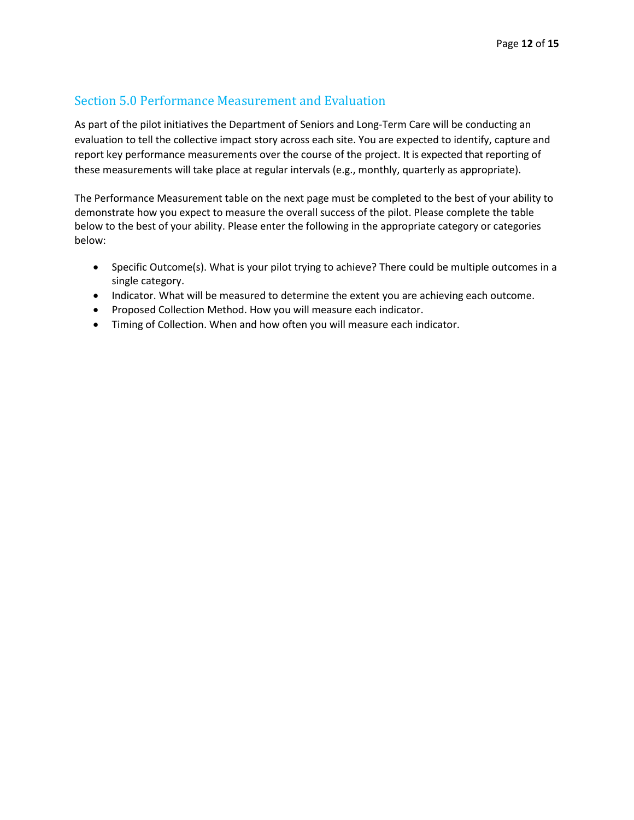#### Section 5.0 Performance Measurement and Evaluation

As part of the pilot initiatives the Department of Seniors and Long-Term Care will be conducting an evaluation to tell the collective impact story across each site. You are expected to identify, capture and report key performance measurements over the course of the project. It is expected that reporting of these measurements will take place at regular intervals (e.g., monthly, quarterly as appropriate).

The Performance Measurement table on the next page must be completed to the best of your ability to demonstrate how you expect to measure the overall success of the pilot. Please complete the table below to the best of your ability. Please enter the following in the appropriate category or categories below:

- Specific Outcome(s). What is your pilot trying to achieve? There could be multiple outcomes in a single category.
- Indicator. What will be measured to determine the extent you are achieving each outcome.
- Proposed Collection Method. How you will measure each indicator.
- Timing of Collection. When and how often you will measure each indicator.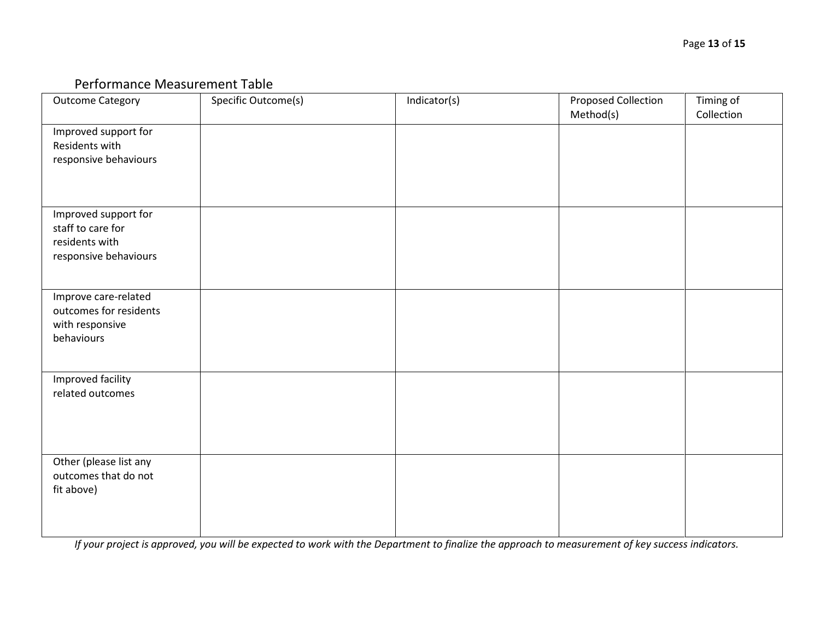### Performance Measurement Table

| <b>Outcome Category</b>                                                              | Specific Outcome(s) | Indicator(s) | Proposed Collection<br>Method(s) | Timing of<br>Collection |
|--------------------------------------------------------------------------------------|---------------------|--------------|----------------------------------|-------------------------|
| Improved support for<br>Residents with<br>responsive behaviours                      |                     |              |                                  |                         |
| Improved support for<br>staff to care for<br>residents with<br>responsive behaviours |                     |              |                                  |                         |
| Improve care-related<br>outcomes for residents<br>with responsive<br>behaviours      |                     |              |                                  |                         |
| Improved facility<br>related outcomes                                                |                     |              |                                  |                         |
| Other (please list any<br>outcomes that do not<br>fit above)                         |                     |              |                                  |                         |

*If your project is approved, you will be expected to work with the Department to finalize the approach to measurement of key success indicators.*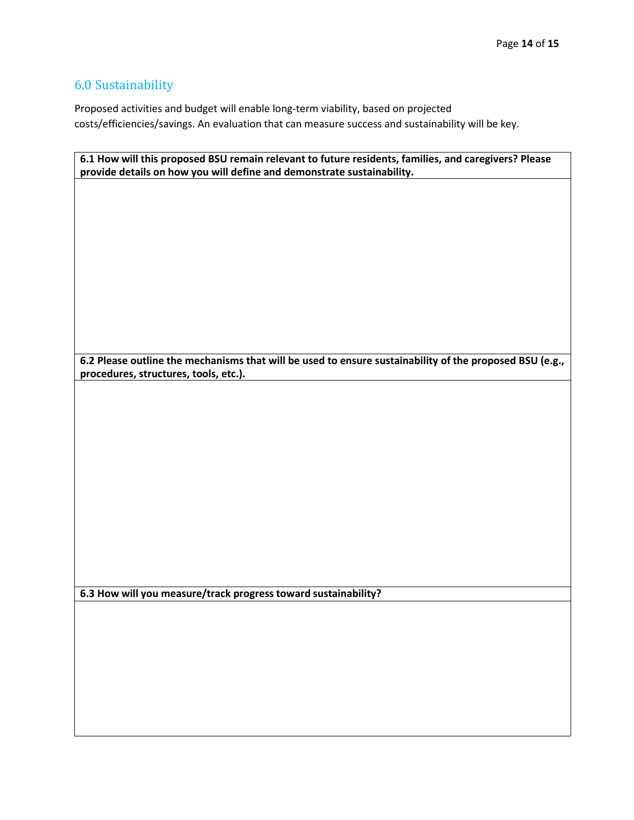# 6.0 Sustainability

Proposed activities and budget will enable long-term viability, based on projected costs/efficiencies/savings. An evaluation that can measure success and sustainability will be key.

| 6.1 How will this proposed BSU remain relevant to future residents, families, and caregivers? Please<br>provide details on how you will define and demonstrate sustainability. |
|--------------------------------------------------------------------------------------------------------------------------------------------------------------------------------|
|                                                                                                                                                                                |
|                                                                                                                                                                                |
|                                                                                                                                                                                |
|                                                                                                                                                                                |
|                                                                                                                                                                                |
|                                                                                                                                                                                |
|                                                                                                                                                                                |
|                                                                                                                                                                                |
|                                                                                                                                                                                |
|                                                                                                                                                                                |
|                                                                                                                                                                                |
|                                                                                                                                                                                |
| 6.2 Please outline the mechanisms that will be used to ensure sustainability of the proposed BSU (e.g.,                                                                        |
| procedures, structures, tools, etc.).                                                                                                                                          |
|                                                                                                                                                                                |
|                                                                                                                                                                                |
|                                                                                                                                                                                |
|                                                                                                                                                                                |
|                                                                                                                                                                                |
|                                                                                                                                                                                |
|                                                                                                                                                                                |
|                                                                                                                                                                                |
|                                                                                                                                                                                |
|                                                                                                                                                                                |
|                                                                                                                                                                                |
|                                                                                                                                                                                |
|                                                                                                                                                                                |
|                                                                                                                                                                                |
| 6.3 How will you measure/track progress toward sustainability?                                                                                                                 |